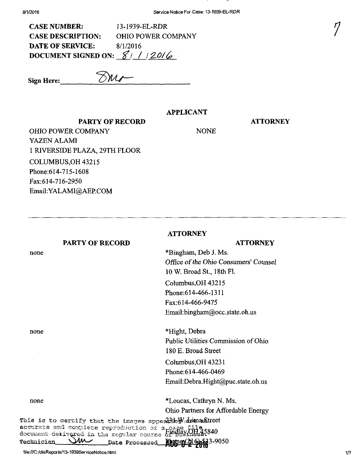$\cdots$ 

| <b>CASE NUMBER:</b>            | 13-1939-EL-RDR            |
|--------------------------------|---------------------------|
| <b>CASE DESCRIPTION:</b>       | <b>OHIO POWER COMPANY</b> |
| <b>DATE OF SERVICE:</b>        | 8/1/2016                  |
| DOCUMENT SIGNED ON: $8/1/20/6$ |                           |

Sign Here:  $\frac{N}{M}$ 

#### APPLICANT

#### **ATTORNEY**

 $\frac{1}{2}$ 

NONE

PARTY OF RECORD OHIO POWER COMPANY YAZEN ALAMI 1 RIVERSIDE PLAZA, 29TH FLOOR COLUMBUS,OH 43215 Phone:614-7I5-I608 Fax:614-716-2950 Email[:YALAMI@AEP.COM](mailto:YALAMI@AEP.COM) 

|                                                 | <b>ATTORNEY</b>                                                                                                   |     |
|-------------------------------------------------|-------------------------------------------------------------------------------------------------------------------|-----|
| <b>PARTY OF RECORD</b>                          | <b>ATTORNEY</b>                                                                                                   |     |
| none                                            | *Bingham, Deb J. Ms.                                                                                              |     |
|                                                 | Office of the Ohio Consumers' Counsel                                                                             |     |
|                                                 | 10 W. Broad St., 18th Fl.                                                                                         |     |
|                                                 | Columbus, OH 43215                                                                                                |     |
|                                                 | Phone: 614-466-1311                                                                                               |     |
|                                                 | Fax:614-466-9475                                                                                                  |     |
|                                                 | Email:bingham@occ.state.oh.us                                                                                     |     |
| none                                            | *Hight, Debra                                                                                                     |     |
|                                                 | Public Utilities Commission of Ohio                                                                               |     |
|                                                 | 180 E. Broad Street                                                                                               |     |
|                                                 | Columbus, OH 43231                                                                                                |     |
|                                                 | Phone: 614-466-0469                                                                                               |     |
|                                                 | Email:Debra.Hight@puc.state.oh.us                                                                                 |     |
| none                                            | *Loucas, Cathryn N. Ms.                                                                                           |     |
|                                                 | Ohio Partners for Affordable Energy                                                                               |     |
|                                                 | This is to certify that the images apper $35$ m. Juman Street                                                     |     |
|                                                 | accurate and complete reproduction of a case file<br>document delivered in the regular course <i>treessine</i> s: |     |
| Mv ~<br>Technician                              | <b>12</b> 3-9050<br>Date Processed<br><b>Kaimen</b>                                                               |     |
| file:///C:/disReports/13-1939ServiceNotice.html |                                                                                                                   | 1/7 |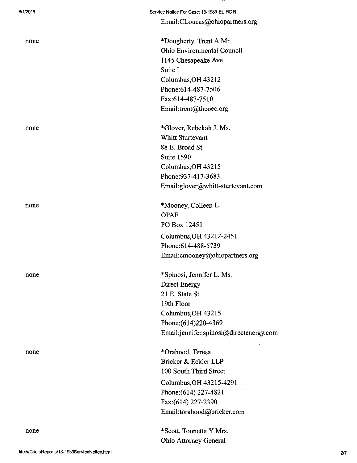| 8/1/2016 | Service Notice For Case: 13-1939-EL-RDR |
|----------|-----------------------------------------|
|          | Email:CLoucas@ohiopartners.org          |
|          |                                         |
| none     | *Dougherty, Trent A Mr.                 |
|          | <b>Ohio Environmental Council</b>       |
|          | 1145 Chesapeake Ave                     |
|          | Suite I                                 |
|          | Columbus, OH 43212                      |
|          | Phone: 614-487-7506                     |
|          | Fax:614-487-7510                        |
|          | Email:trent@theoec.org                  |
| none     | *Glover, Rebekah J. Ms.                 |
|          | <b>Whitt Sturtevant</b>                 |
|          | 88 E. Broad St                          |
|          | Suite 1590                              |
|          | Columbus, OH 43215                      |
|          | Phone: 937-417-3683                     |
|          | Email:glover@whitt-sturtevant.com       |
| none     | *Mooney, Colleen L                      |
|          | <b>OPAE</b>                             |
|          | PO Box 12451                            |
|          | Columbus, OH 43212-2451                 |
|          | Phone: 614-488-5739                     |
|          | Email:cmooney@ohiopartners.org          |
| none     | *Spinosi, Jennifer L. Ms.               |
|          | <b>Direct Energy</b>                    |
|          | 21 E. State St.                         |
|          | 19th Floor                              |
|          | Columbus, OH 43215                      |
|          | Phone: (614) 220-4369                   |
|          | Email:jennifer.spinosi@directenergy.com |
| none     | *Orahood, Teresa                        |
|          | Bricker & Eckler LLP                    |
|          | 100 South Third Street                  |
|          | Columbus, OH 43215-4291                 |
|          | Phone: (614) 227-4821                   |
|          | Fax: (614) 227-2390                     |
|          | Email:torahood@bricker.com              |
| none     | *Scott, Tonnetta Y Mrs.                 |
|          | Ohio Attorney General                   |

 $\sim$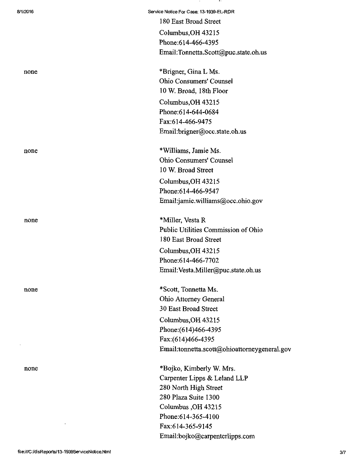| 8/1/2016 | Service Notice For Case: 13-1939-EL-RDR      |
|----------|----------------------------------------------|
|          | 180 East Broad Street                        |
|          | Columbus, OH 43215                           |
|          | Phone: 614-466-4395                          |
|          | Email:Tonnetta.Scott@puc.state.oh.us         |
| none     | *Brigner, Gina L Ms.                         |
|          | <b>Ohio Consumers' Counsel</b>               |
|          | 10 W. Broad, 18th Floor                      |
|          | Columbus, OH 43215                           |
|          | Phone: 614-644-0684                          |
|          | Fax:614-466-9475                             |
|          | Email:brigner@occ.state.oh.us                |
| none     | *Williams, Jamie Ms.                         |
|          | <b>Ohio Consumers' Counsel</b>               |
|          | 10 W. Broad Street                           |
|          | Columbus, OH 43215                           |
|          | Phone: 614-466-9547                          |
|          | Email:jamie.williams@occ.ohio.gov            |
| none     | *Miller, Vesta R                             |
|          | Public Utilities Commission of Ohio          |
|          | 180 East Broad Street                        |
|          | Columbus, OH 43215                           |
|          | Phone: 614-466-7702                          |
|          | Email: Vesta.Miller@puc.state.oh.us          |
| none     | *Scott, Tonnetta Ms.                         |
|          | Ohio Attorney General                        |
|          | 30 East Broad Street                         |
|          | Columbus, OH 43215                           |
|          | Phone: (614)466-4395                         |
|          | Fax:(614)466-4395                            |
|          | Email:tonnetta.scott@ohioattorneygeneral.gov |
| none     | *Bojko, Kimberly W. Mrs.                     |
|          | Carpenter Lipps & Leland LLP                 |
|          | 280 North High Street                        |
|          | 280 Plaza Suite 1300                         |
|          | Columbus, OH 43215                           |
|          | Phone: 614-365-4100                          |
|          | Fax:614-365-9145                             |
|          | Email:bojko@carpenterlipps.com               |

. .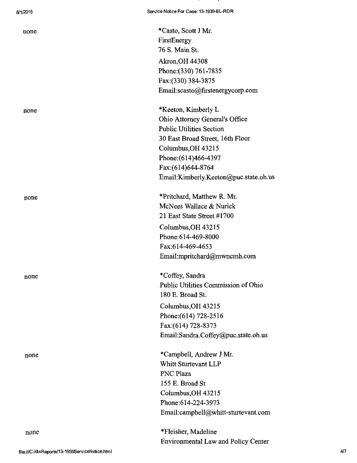none \*Casto, Scott J Mr. FirstEnergy 76 S. Main St. Akron,OH 44308 Phone: (330) 761-7835 Fax:(330) 384-3875 Email:[scasto@firstenergycorp.com](mailto:scasto@firstenergycorp.com) 

none \*Keeton, Kimberly L Ohio Attorney General's Office Public Utilities Section 30 East Broad Street, 16th Floor Columbus,OH 43215 Phone:(614)466-4397 Fax:(614)644-8764 EmaiI:[Kimberly.Keeton@puc.state.oh.us](mailto:Kimberly.Keeton@puc.state.oh.us) 

none \*Pritchard, Matthew R. Mr. McNees Wallace & Nurick 21 East State Street #1700 Columbus,OH 43215 Phone:614-469-8000 Fax:614-469-4653 EmaiI:[mpritchard@mwncmh.com](mailto:mpritchard@mwncmh.com) 

none \*Coffey, Sandra Public Utilities Commission of Ohio 180 E. Broad St.

Columbus,OH 43215 Phone:(614) 728-2516 Fax:(614) 728-8373 EmaiI:[Sandra.Coffey@puc.state.oh.us](mailto:Sandra.Coffey@puc.state.oh.us) 

none \*Campbell, Andrew J Mr. Whitt Sturtevant LLP PNC Plaza 155 E. Broad St Columbus,OH 43215 Phone:614-224-3973 Email:[campbell@whitt-sturtevant.com](mailto:campbell@whitt-sturtevant.com) 

> \*Fleisher, Madeline Environmental Law and Policy Center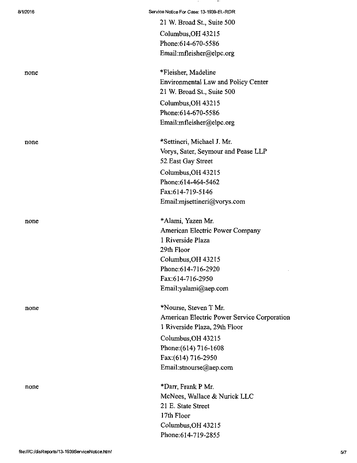| 8/1/2016 | Service Notice For Case: 13-1939-EL-RDR     |
|----------|---------------------------------------------|
|          | 21 W. Broad St., Suite 500                  |
|          | Columbus, OH 43215                          |
|          | Phone: 614-670-5586                         |
|          | Email:mfleisher@elpc.org                    |
| none     | *Fleisher, Madeline                         |
|          | <b>Environmental Law and Policy Center</b>  |
|          | 21 W. Broad St., Suite 500                  |
|          | Columbus, OH 43215                          |
|          | Phone:614-670-5586                          |
|          | Email:mfleisher@elpc.org                    |
| none     | *Settineri, Michael J. Mr.                  |
|          | Vorys, Sater, Seymour and Pease LLP         |
|          | 52 East Gay Street                          |
|          | Columbus, OH 43215                          |
|          | Phone: 614-464-5462                         |
|          | Fax:614-719-5146                            |
|          | Email:misettineri@vorys.com                 |
| none     | *Alami, Yazen Mr.                           |
|          | American Electric Power Company             |
|          | 1 Riverside Plaza                           |
|          | 29th Floor                                  |
|          | Columbus, OH 43215                          |
|          | Phone:614-716-2920                          |
|          | Fax:614-716-2950                            |
|          | Email:yalami@aep.com                        |
| none     | *Nourse, Steven T Mr.                       |
|          | American Electric Power Service Corporation |
|          | 1 Riverside Plaza, 29th Floor               |
|          | Columbus, OH 43215                          |
|          | Phone: (614) 716-1608                       |
|          | Fax:(614) 716-2950                          |
|          | Email:stnourse@aep.com                      |
| none     | *Darr, Frank P Mr.                          |
|          | McNees, Wallace & Nurick LLC                |
|          | 21 E. State Street                          |
|          | 17th Floor                                  |
|          | Columbus, OH 43215                          |
|          | Phone: 614-719-2855                         |

 $\sim$  10  $\pm$ 

 $\rightarrow$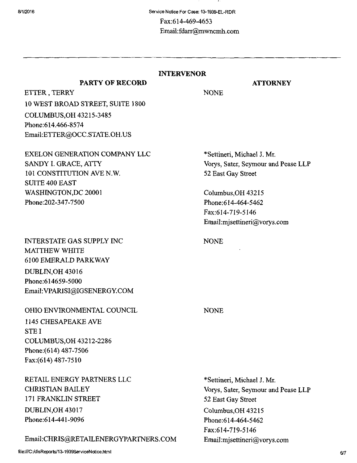## INTERVENOR

### ATTORNEY

NONE

ETTER, TERRY 10 WEST BROAD STREET, SUITE 1800 COLUMBUS,OH 43215-3485 Phone:614.466-8574 Email:ETTER(ajOCC.STATE.OH.US

PARTY OF RECORD

EXELON GENERATION COMPANY LLC SANDY I. GRACE, ATTY 101 CONSTITUTION AVE N.W. SUITE 400 EAST WASHINGTON,DC 20001 Phone:202-347-7500

# INTERSTATE GAS SUPPLY INC MATTHEW WHITE 6100 EMERALD PARKWAY DUBLIN,OH 43016 Phone:614659-5000 Email[:VPARISI@IGSENERGY.COM](mailto:VPARISI@IGSENERGY.COM)

### OHIO ENVIRONMENTAL COUNCIL

1145 CHESAPEAKE AVE STE I COLUMBUS^OH 43212-2286 Phone: (614) 487-7506 Fax:(614)487-7510

RETAIL ENERGY PARTNERS LLC CHRISTIAN BAILEY 171 FRANKLIN STREET DUBLIN,OH 43017 Phone:614-441-9096

Email:[CHRIS@RETAILENERGYPARTNERS.COM](mailto:CHRIS@RETAILENERGYPARTNERS.COM) 

\*Settineri, Michael J. Mr. Vorys, Sater, Seymour and Pease LLP 52 East Gay Street

CoIumbus,OH 43215 Phone:614-464-5462 Fax:614-719-5146 Email[:mjsettineri@vorys.com](mailto:mjsettineri@vorys.com) 

NONE

NONE

\*Settineri, Michael J. Mr. Vorys, Sater, Seymour and Pease LLP 52 East Gay Street Columbus,OH 43215 Phone:614-464-5462 Fax:614-719-5146 Email[:mjsettineri@vorys.com](mailto:mjsettineri@vorys.com)